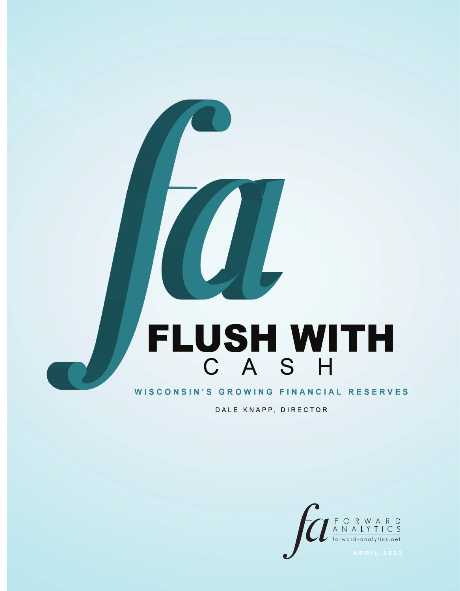# FLUSH WITH

# WISCONSIN'S GROWING FINANCIAL RESERVES

DALE KNAPP, DIRECTOR

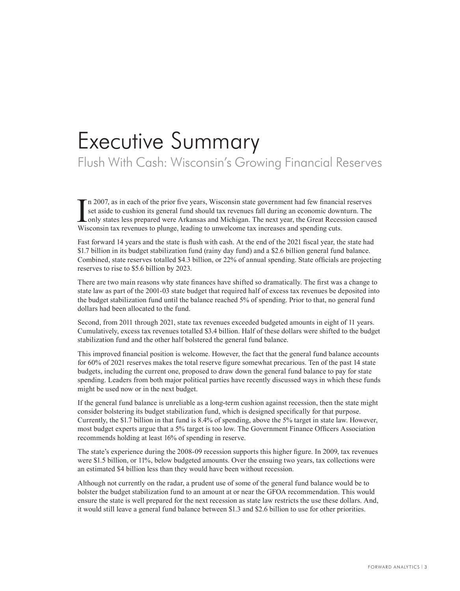# Executive Summary

Flush With Cash: Wisconsin's Growing Financial Reserves

I<sub>Wis</sub> n 2007, as in each of the prior five years, Wisconsin state government had few financial reserves set aside to cushion its general fund should tax revenues fall during an economic downturn. The only states less prepared were Arkansas and Michigan. The next year, the Great Recession caused Wisconsin tax revenues to plunge, leading to unwelcome tax increases and spending cuts.

Fast forward 14 years and the state is flush with cash. At the end of the 2021 fiscal year, the state had \$1.7 billion in its budget stabilization fund (rainy day fund) and a \$2.6 billion general fund balance. Combined, state reserves totalled \$4.3 billion, or 22% of annual spending. State officials are projecting reserves to rise to \$5.6 billion by 2023.

There are two main reasons why state finances have shifted so dramatically. The first was a change to state law as part of the 2001-03 state budget that required half of excess tax revenues be deposited into the budget stabilization fund until the balance reached 5% of spending. Prior to that, no general fund dollars had been allocated to the fund.

Second, from 2011 through 2021, state tax revenues exceeded budgeted amounts in eight of 11 years. Cumulatively, excess tax revenues totalled \$3.4 billion. Half of these dollars were shifted to the budget stabilization fund and the other half bolstered the general fund balance.

This improved financial position is welcome. However, the fact that the general fund balance accounts for 60% of 2021 reserves makes the total reserve figure somewhat precarious. Ten of the past 14 state budgets, including the current one, proposed to draw down the general fund balance to pay for state spending. Leaders from both major political parties have recently discussed ways in which these funds might be used now or in the next budget.

If the general fund balance is unreliable as a long-term cushion against recession, then the state might consider bolstering its budget stabilization fund, which is designed specifically for that purpose. Currently, the \$1.7 billion in that fund is 8.4% of spending, above the 5% target in state law. However, most budget experts argue that a 5% target is too low. The Government Finance Officers Association recommends holding at least 16% of spending in reserve.

The state's experience during the 2008-09 recession supports this higher figure. In 2009, tax revenues were \$1.5 billion, or 11%, below budgeted amounts. Over the ensuing two years, tax collections were an estimated \$4 billion less than they would have been without recession.

Although not currently on the radar, a prudent use of some of the general fund balance would be to bolster the budget stabilization fund to an amount at or near the GFOA recommendation. This would ensure the state is well prepared for the next recession as state law restricts the use these dollars. And, it would still leave a general fund balance between \$1.3 and \$2.6 billion to use for other priorities.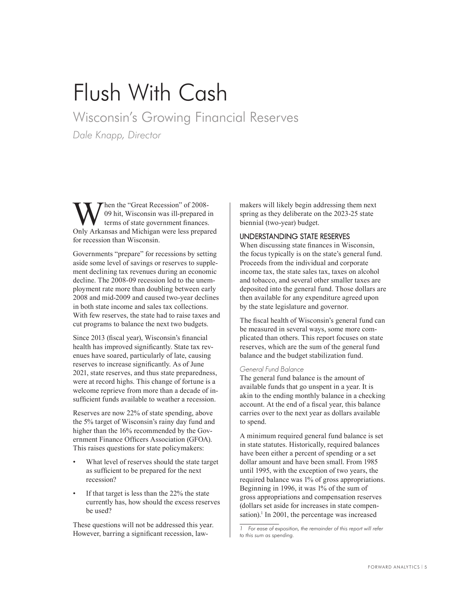# Flush With Cash

Wisconsin's Growing Financial Reserves

*Dale Knapp, Director*

When the "Great Recession" of 2008-<br>terms of state government finances.<br>Only Arkansas and Michigan were less prenate 09 hit, Wisconsin was ill-prepared in terms of state government finances. Only Arkansas and Michigan were less prepared for recession than Wisconsin.

Governments "prepare" for recessions by setting aside some level of savings or reserves to supplement declining tax revenues during an economic decline. The 2008-09 recession led to the unemployment rate more than doubling between early 2008 and mid-2009 and caused two-year declines in both state income and sales tax collections. With few reserves, the state had to raise taxes and cut programs to balance the next two budgets.

Since 2013 (fiscal year), Wisconsin's financial health has improved significantly. State tax revenues have soared, particularly of late, causing reserves to increase significantly. As of June 2021, state reserves, and thus state preparedness, were at record highs. This change of fortune is a welcome reprieve from more than a decade of insufficient funds available to weather a recession.

Reserves are now 22% of state spending, above the 5% target of Wisconsin's rainy day fund and higher than the 16% recommended by the Government Finance Officers Association (GFOA). This raises questions for state policymakers:

- What level of reserves should the state target as sufficient to be prepared for the next recession?
- If that target is less than the 22% the state currently has, how should the excess reserves be used?

These questions will not be addressed this year. However, barring a significant recession, lawmakers will likely begin addressing them next spring as they deliberate on the 2023-25 state biennial (two-year) budget.

# UNDERSTANDING STATE RESERVES

When discussing state finances in Wisconsin, the focus typically is on the state's general fund. Proceeds from the individual and corporate income tax, the state sales tax, taxes on alcohol and tobacco, and several other smaller taxes are deposited into the general fund. Those dollars are then available for any expenditure agreed upon by the state legislature and governor.

The fiscal health of Wisconsin's general fund can be measured in several ways, some more complicated than others. This report focuses on state reserves, which are the sum of the general fund balance and the budget stabilization fund.

### General Fund Balance

The general fund balance is the amount of available funds that go unspent in a year. It is akin to the ending monthly balance in a checking account. At the end of a fiscal year, this balance carries over to the next year as dollars available to spend.

A minimum required general fund balance is set in state statutes. Historically, required balances have been either a percent of spending or a set dollar amount and have been small. From 1985 until 1995, with the exception of two years, the required balance was 1% of gross appropriations. Beginning in 1996, it was 1% of the sum of gross appropriations and compensation reserves (dollars set aside for increases in state compensation).<sup>1</sup> In 2001, the percentage was increased

*<sup>1</sup> For ease of exposition, the remainder of this report will refer to this sum as spending.*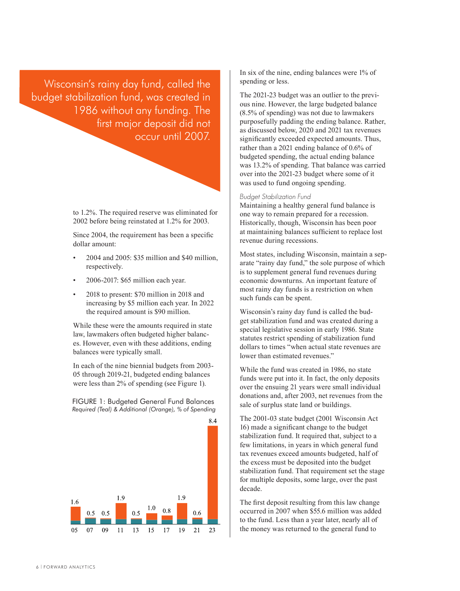Wisconsin's rainy day fund, called the budget stabilization fund, was created in 1986 without any funding. The first major deposit did not occur until 2007.

> to 1.2%. The required reserve was eliminated for 2002 before being reinstated at 1.2% for 2003.

Since 2004, the requirement has been a specific dollar amount:

- 2004 and 2005: \$35 million and \$40 million, respectively.
- 2006-2017: \$65 million each year.
- 2018 to present: \$70 million in 2018 and increasing by \$5 million each year. In 2022 the required amount is \$90 million.

While these were the amounts required in state law, lawmakers often budgeted higher balances. However, even with these additions, ending balances were typically small.

In each of the nine biennial budgets from 2003- 05 through 2019-21, budgeted ending balances were less than 2% of spending (see Figure 1).

FIGURE 1: Budgeted General Fund Balances *Required (Teal) & Additional (Orange), % of Spending*



In six of the nine, ending balances were 1% of spending or less.

The 2021-23 budget was an outlier to the previous nine. However, the large budgeted balance (8.5% of spending) was not due to lawmakers purposefully padding the ending balance. Rather, as discussed below, 2020 and 2021 tax revenues significantly exceeded expected amounts. Thus, rather than a 2021 ending balance of 0.6% of budgeted spending, the actual ending balance was 13.2% of spending. That balance was carried over into the 2021-23 budget where some of it was used to fund ongoing spending.

### Budget Stabilization Fund

Maintaining a healthy general fund balance is one way to remain prepared for a recession. Historically, though, Wisconsin has been poor at maintaining balances sufficient to replace lost revenue during recessions.

Most states, including Wisconsin, maintain a separate "rainy day fund," the sole purpose of which is to supplement general fund revenues during economic downturns. An important feature of most rainy day funds is a restriction on when such funds can be spent.

Wisconsin's rainy day fund is called the budget stabilization fund and was created during a special legislative session in early 1986. State statutes restrict spending of stabilization fund dollars to times "when actual state revenues are lower than estimated revenues."

While the fund was created in 1986, no state funds were put into it. In fact, the only deposits over the ensuing 21 years were small individual donations and, after 2003, net revenues from the sale of surplus state land or buildings.

The 2001-03 state budget (2001 Wisconsin Act 16) made a significant change to the budget stabilization fund. It required that, subject to a few limitations, in years in which general fund tax revenues exceed amounts budgeted, half of the excess must be deposited into the budget stabilization fund. That requirement set the stage for multiple deposits, some large, over the past decade.

The first deposit resulting from this law change occurred in 2007 when \$55.6 million was added to the fund. Less than a year later, nearly all of the money was returned to the general fund to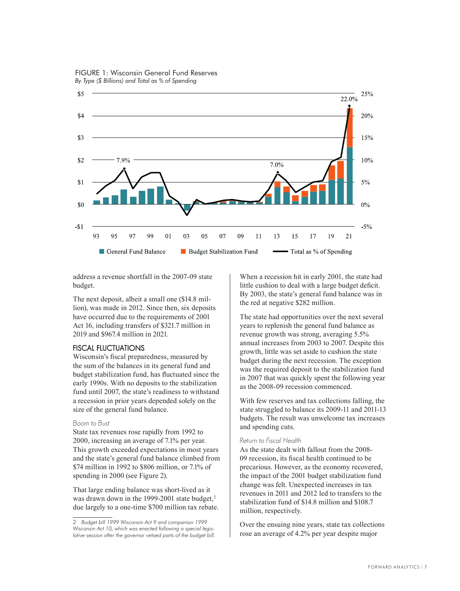

FIGURE 1: Wisconsin General Fund Reserves *By Type (\$ Billions) and Total as % of Spending*

address a revenue shortfall in the 2007-09 state budget.

The next deposit, albeit a small one (\$14.8 million), was made in 2012. Since then, six deposits have occurred due to the requirements of 2001 Act 16, including transfers of \$321.7 million in 2019 and \$967.4 million in 2021.

### FISCAL FLUCTUATIONS

Wisconsin's fiscal preparedness, measured by the sum of the balances in its general fund and budget stabilization fund, has fluctuated since the early 1990s. With no deposits to the stabilization fund until 2007, the state's readiness to withstand a recession in prior years depended solely on the size of the general fund balance.

### Boom to Bust

State tax revenues rose rapidly from 1992 to 2000, increasing an average of 7.1% per year. This growth exceeded expectations in most years and the state's general fund balance climbed from \$74 million in 1992 to \$806 million, or 7.1% of spending in 2000 (see Figure 2).

That large ending balance was short-lived as it was drawn down in the 1999-2001 state budget,<sup>2</sup> due largely to a one-time \$700 million tax rebate.

When a recession hit in early 2001, the state had little cushion to deal with a large budget deficit. By 2003, the state's general fund balance was in the red at negative \$282 million.

The state had opportunities over the next several years to replenish the general fund balance as revenue growth was strong, averaging 5.5% annual increases from 2003 to 2007. Despite this growth, little was set aside to cushion the state budget during the next recession. The exception was the required deposit to the stabilization fund in 2007 that was quickly spent the following year as the 2008-09 recession commenced.

With few reserves and tax collections falling, the state struggled to balance its 2009-11 and 2011-13 budgets. The result was unwelcome tax increases and spending cuts.

### Return to Fiscal Health

As the state dealt with fallout from the 2008- 09 recession, its fiscal health continued to be precarious. However, as the economy recovered, the impact of the 2001 budget stabilization fund change was felt. Unexpected increases in tax revenues in 2011 and 2012 led to transfers to the stabilization fund of \$14.8 million and \$108.7 million, respectively.

Over the ensuing nine years, state tax collections rose an average of 4.2% per year despite major

*<sup>2</sup> Budget bill 1999 Wisconsin Act 9 and companion 1999 Wisconsin Act 10, which was enacted following a special legislative session after the governor vetoed parts of the budget bill.*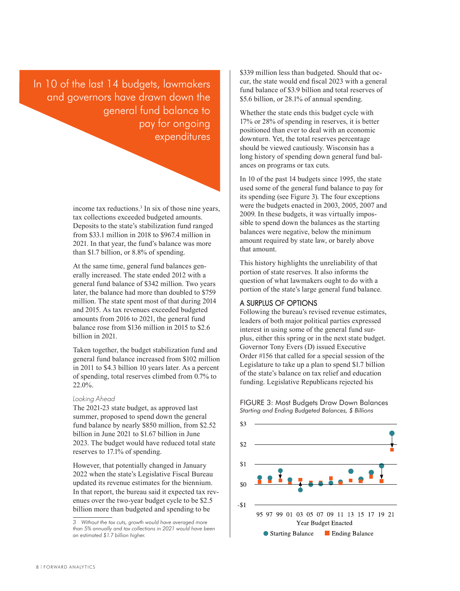In 10 of the last 14 budgets, lawmakers and governors have drawn down the general fund balance to pay for ongoing expenditures

> income tax reductions.<sup>3</sup> In six of those nine years, tax collections exceeded budgeted amounts. Deposits to the state's stabilization fund ranged from \$33.1 million in 2018 to \$967.4 million in 2021. In that year, the fund's balance was more than \$1.7 billion, or 8.8% of spending.

At the same time, general fund balances generally increased. The state ended 2012 with a general fund balance of \$342 million. Two years later, the balance had more than doubled to \$759 million. The state spent most of that during 2014 and 2015. As tax revenues exceeded budgeted amounts from 2016 to 2021, the general fund balance rose from \$136 million in 2015 to \$2.6 billion in 2021.

Taken together, the budget stabilization fund and general fund balance increased from \$102 million in 2011 to \$4.3 billion 10 years later. As a percent of spending, total reserves climbed from 0.7% to 22.0%.

### Looking Ahead

The 2021-23 state budget, as approved last summer, proposed to spend down the general fund balance by nearly \$850 million, from \$2.52 billion in June 2021 to \$1.67 billion in June 2023. The budget would have reduced total state reserves to 17.1% of spending.

However, that potentially changed in January 2022 when the state's Legislative Fiscal Bureau updated its revenue estimates for the biennium. In that report, the bureau said it expected tax revenues over the two-year budget cycle to be \$2.5 billion more than budgeted and spending to be

\$339 million less than budgeted. Should that occur, the state would end fiscal 2023 with a general fund balance of \$3.9 billion and total reserves of \$5.6 billion, or 28.1% of annual spending.

Whether the state ends this budget cycle with 17% or 28% of spending in reserves, it is better positioned than ever to deal with an economic downturn. Yet, the total reserves percentage should be viewed cautiously. Wisconsin has a long history of spending down general fund balances on programs or tax cuts.

In 10 of the past 14 budgets since 1995, the state used some of the general fund balance to pay for its spending (see Figure 3). The four exceptions were the budgets enacted in 2003, 2005, 2007 and 2009. In these budgets, it was virtually impossible to spend down the balances as the starting balances were negative, below the minimum amount required by state law, or barely above that amount.

This history highlights the unreliability of that portion of state reserves. It also informs the question of what lawmakers ought to do with a portion of the state's large general fund balance.

### A SURPLUS OF OPTIONS

Following the bureau's revised revenue estimates, leaders of both major political parties expressed interest in using some of the general fund surplus, either this spring or in the next state budget. Governor Tony Evers (D) issued Executive Order #156 that called for a special session of the Legislature to take up a plan to spend \$1.7 billion of the state's balance on tax relief and education funding. Legislative Republicans rejected his

FIGURE 3: Most Budgets Draw Down Balances *Starting and Ending Budgeted Balances, \$ Billions*



*<sup>3</sup> Without the tax cuts, growth would have averaged more than 5% annually and tax collections in 2021 would have been an estimated \$1.7 billion higher.*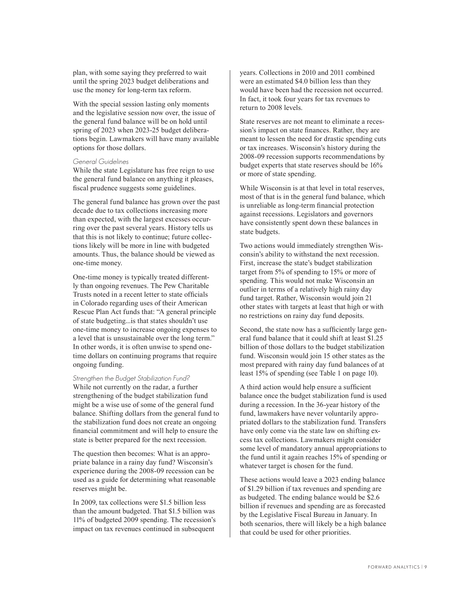plan, with some saying they preferred to wait until the spring 2023 budget deliberations and use the money for long-term tax reform.

With the special session lasting only moments and the legislative session now over, the issue of the general fund balance will be on hold until spring of 2023 when 2023-25 budget deliberations begin. Lawmakers will have many available options for those dollars.

### General Guidelines

While the state Legislature has free reign to use the general fund balance on anything it pleases, fiscal prudence suggests some guidelines.

The general fund balance has grown over the past decade due to tax collections increasing more than expected, with the largest excesses occurring over the past several years. History tells us that this is not likely to continue; future collections likely will be more in line with budgeted amounts. Thus, the balance should be viewed as one-time money.

One-time money is typically treated differently than ongoing revenues. The Pew Charitable Trusts noted in a recent letter to state officials in Colorado regarding uses of their American Rescue Plan Act funds that: "A general principle of state budgeting...is that states shouldn't use one-time money to increase ongoing expenses to a level that is unsustainable over the long term." In other words, it is often unwise to spend onetime dollars on continuing programs that require ongoing funding.

### Strengthen the Budget Stabilization Fund?

While not currently on the radar, a further strengthening of the budget stabilization fund might be a wise use of some of the general fund balance. Shifting dollars from the general fund to the stabilization fund does not create an ongoing financial commitment and will help to ensure the state is better prepared for the next recession.

The question then becomes: What is an appropriate balance in a rainy day fund? Wisconsin's experience during the 2008-09 recession can be used as a guide for determining what reasonable reserves might be.

In 2009, tax collections were \$1.5 billion less than the amount budgeted. That \$1.5 billion was 11% of budgeted 2009 spending. The recession's impact on tax revenues continued in subsequent

years. Collections in 2010 and 2011 combined were an estimated \$4.0 billion less than they would have been had the recession not occurred. In fact, it took four years for tax revenues to return to 2008 levels.

State reserves are not meant to eliminate a recession's impact on state finances. Rather, they are meant to lessen the need for drastic spending cuts or tax increases. Wisconsin's history during the 2008-09 recession supports recommendations by budget experts that state reserves should be 16% or more of state spending.

While Wisconsin is at that level in total reserves, most of that is in the general fund balance, which is unreliable as long-term financial protection against recessions. Legislators and governors have consistently spent down these balances in state budgets.

Two actions would immediately strengthen Wisconsin's ability to withstand the next recession. First, increase the state's budget stabilization target from 5% of spending to 15% or more of spending. This would not make Wisconsin an outlier in terms of a relatively high rainy day fund target. Rather, Wisconsin would join 21 other states with targets at least that high or with no restrictions on rainy day fund deposits.

Second, the state now has a sufficiently large general fund balance that it could shift at least \$1.25 billion of those dollars to the budget stabilization fund. Wisconsin would join 15 other states as the most prepared with rainy day fund balances of at least 15% of spending (see Table 1 on page 10).

A third action would help ensure a sufficient balance once the budget stabilization fund is used during a recession. In the 36-year history of the fund, lawmakers have never voluntarily appropriated dollars to the stabilization fund. Transfers have only come via the state law on shifting excess tax collections. Lawmakers might consider some level of mandatory annual appropriations to the fund until it again reaches 15% of spending or whatever target is chosen for the fund.

These actions would leave a 2023 ending balance of \$1.29 billion if tax revenues and spending are as budgeted. The ending balance would be \$2.6 billion if revenues and spending are as forecasted by the Legislative Fiscal Bureau in January. In both scenarios, there will likely be a high balance that could be used for other priorities.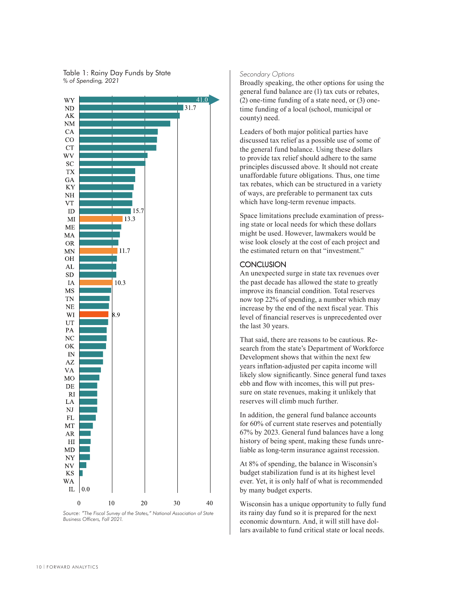



### *Source: "The Fiscal Survey of the States," National Association of State Business Officers, Fall 2021.*

### Secondary Options

Broadly speaking, the other options for using the general fund balance are (1) tax cuts or rebates, (2) one-time funding of a state need, or (3) onetime funding of a local (school, municipal or county) need.

Leaders of both major political parties have discussed tax relief as a possible use of some of the general fund balance. Using these dollars to provide tax relief should adhere to the same principles discussed above. It should not create unaffordable future obligations. Thus, one time tax rebates, which can be structured in a variety of ways, are preferable to permanent tax cuts which have long-term revenue impacts.

Space limitations preclude examination of pressing state or local needs for which these dollars might be used. However, lawmakers would be wise look closely at the cost of each project and the estimated return on that "investment."

## **CONCLUSION**

An unexpected surge in state tax revenues over the past decade has allowed the state to greatly improve its financial condition. Total reserves now top 22% of spending, a number which may increase by the end of the next fiscal year. This level of financial reserves is unprecedented over the last 30 years.

That said, there are reasons to be cautious. Research from the state's Department of Workforce Development shows that within the next few years inflation-adjusted per capita income will likely slow significantly. Since general fund taxes ebb and flow with incomes, this will put pressure on state revenues, making it unlikely that reserves will climb much further.

In addition, the general fund balance accounts for 60% of current state reserves and potentially 67% by 2023. General fund balances have a long history of being spent, making these funds unreliable as long-term insurance against recession.

At 8% of spending, the balance in Wisconsin's budget stabilization fund is at its highest level ever. Yet, it is only half of what is recommended by many budget experts.

Wisconsin has a unique opportunity to fully fund its rainy day fund so it is prepared for the next economic downturn. And, it will still have dollars available to fund critical state or local needs.